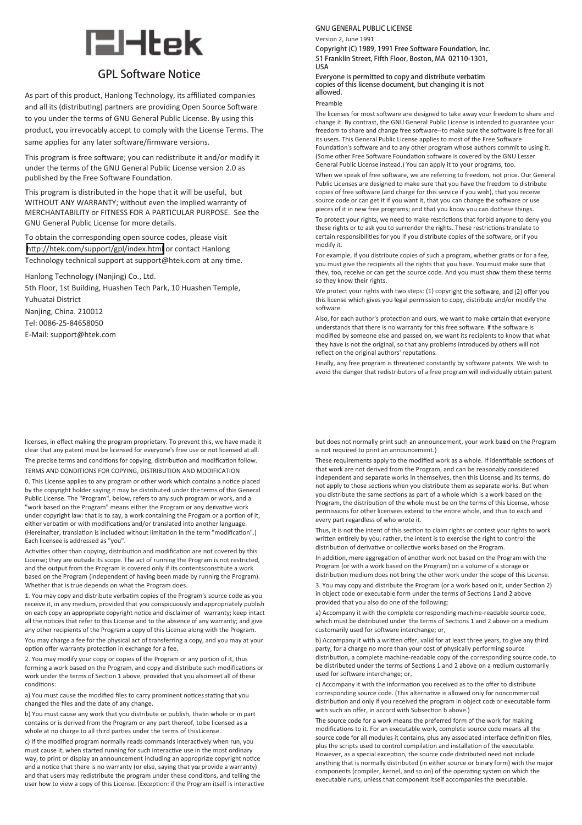# **EH**tek

## **GPL Software Notice**

As part of this product, Hanlong Technology, its affiliated companies and all its (distributing) partners are providing Open Source Software to you under the terms of GNU General Public License. By using this product, you irrevocably accept to comply with the License Terms. The same applies for any later software/firmware versions.

This program is free software; you can redistribute it and/or modify it under the terms of the GNU General Public License version 2.0 as published by the Free Software Foundation.

This program is distributed in the hope that it will be useful, but WITHOUT ANY WARRANTY; without even the implied warranty of MERCHANTABILITY or FITNESS FOR A PARTICULAR PURPOSE. See the GNU General Public License for more details.

To obtain the corresponding open source codes, please visit <http://htek.com/support/gpl/index.html> or contact Hanlong Technology technical support at support@htek.com at any time.

Hanlong Technology (Nanjing) Co., Ltd.

5th Floor, 1st Building, Huashen Tech Park, 10 Huashen Temple, Yuhuatai District Nanjing, China. 210012 Tel: 0086-25-84658050 E-Mail: support@htek.com

licenses, in effect making the program proprietary. To prevent this, we have made it clear that any patent must be licensed for everyone's free use or not licensed at all. The precise terms and conditions for copying, distribution and modification follow. TERMS AND CONDITIONS FOR COPYING, DISTRIBUTION AND MODIFICATION

0. This License applies to any program or other work which contains a notice placed by the copyright holder saying it may be distributed under the terms of this General Public License. The "Program", below, refers to any such program or work, and a "work based on the Program" means either the Program or any derivative work under copyright law: that is to say, a work containing the Program or a portion of it, either verbatim or with modifications and/or translated into another language. (Hereinafter, translation is included without limitation in the term "modification".) Each licensee is addressed as "you".

Activities other than copying, distribution and modification are not covered by this License; they are outside its scope. The act of running the Program is not restricted, and the output from the Program is covered only if its contents constitute a work based on the Program (independent of having been made by running the Program). Whether that is true depends on what the Program does.

1. You may copy and distribute verbatim copies of the Program's source code as you receive it, in any medium, provided that you conspicuously and appropriately publish on each copy an appropriate copyright notice and disclaimer of warranty; keep intact all the notices that refer to this License and to the absence of any warranty; and give any other recipients of the Program a copy of this License along with the Program.

You may charge a fee for the physical act of transferring a copy, and you may at your option offer warranty protection in exchange for a fee.

2. You may modify your copy or copies of the Program or any portion of it, thus forming a work based on the Program, and copy and distribute such modifications or work under the terms of Section 1 above, provided that you also meet all of these conditions:

a) You must cause the modified files to carry prominent notices stating that you changed the files and the date of any change.

b) You must cause any work that you distribute or publish, thatin whole or in part contains or is derived from the Program or any part thereof, to be licensed as a whole at no charge to all third parties under the terms of this License.

c) If the modified program normally reads commands interactively when run, you must cause it, when started running for such interactive use in the most ordinary way, to print or display an announcement including an appropriate copyright notice and a notice that there is no warranty (or else, saying that you provide a warranty) and that users may redistribute the program under these conditions, and telling the user how to view a copy of this License. (Exception: if the Program itself is interactive

### **GNU GENERAL PUBLIC LICENSE**

Version 2, June 1991

Copyright (C) 1989, 1991 Free Software Foundation, Inc. 51 Franklin Street, Fifth Floor, Boston, MA 02110-1301, USA

Everyone is permitted to copy and distribute verbatim copies of this license document, but changing it is not allowed.

#### Preamble

The licenses for most software are designed to take away your freedom to share and change it. By contrast, the GNU General Public License is intended to guarantee your freedom to share and change free software--to make sure the software is free for all its users. This General Public License applies to most of the Free Software

Foundation's software and to any other program whose authors commit to using it. (Some other Free Software Foundation software is covered by the GNU Lesser General Public License instead.) You can apply it to your programs, too.

When we speak of free software, we are referring to freedom, not price. Our General Public Licenses are designed to make sure that you have the freedom to distribute copies of free software (and charge for this service if you wish), that you receive source code or can get it if you want it, that you can change the software or use pieces of it in new free programs; and that you know you can dothese things.

To protect your rights, we need to make restrictions that forbid anyone to deny you these rights or to ask you to surrender the rights. These restrictions translate to certain responsibilities for you if you distribute copies of the software, or if you modify it.

For example, if you distribute copies of such a program, whether gratis or for a fee, you must give the recipients all the rights that you have. You must make sure that they, too, receive or can get the source code. And you must show them these terms so they know their rights.

We protect your rights with two steps: (1) copyright the software, and (2) offer you this license which gives you legal permission to copy, distribute and/or modify the software.

Also, for each author's protection and ours, we want to make certain that everyone understands that there is no warranty for this free software. If the software is modified by someone else and passed on, we want its recipients to know that what they have is not the original, so that any problems introduced by others will not reflect on the original authors' reputations.

Finally, any free program is threatened constantly by software patents. We wish to avoid the danger that redistributors of a free program will individually obtain patent

but does not normally print such an announcement, your work based on the Program is not required to print an announcement.)

These requirements apply to the modified work as a whole. If identifiable sections of that work are not derived from the Program, and can be reasonally considered independent and separate works in themselves, then this License, and its terms, do not apply to those sections when you distribute them as separate works. But when you distribute the same sections as part of a whole which is a work based on the Program, the distribution of the whole must be on the terms ofthis License, whose permissions for other licensees extend to the entire whole, and thus to each and every part regardless of who wrote it.

Thus, it is not the intent of this section to claim rights or contest your rights to work written entirely by you; rather, the intent is to exercise the right to control the distribution of derivative or collective works based on the Program.

In addition, mere aggregation of another work not based on the Program with the Program (or with a work based on the Program) on a volume of a storage or distribution medium does not bring the other work under the scope of this License.

3. You may copy and distribute the Program (or a work based onit, under Section 2) in object code or executable form under the terms of Sections 1 and 2 above provided that you also do one of the following:

a) Accompany it with the complete corresponding machine-readable source code, which must be distributed under the terms of Sections 1 and 2 above on a medium customarily used for software interchange; or,

b) Accompany it with a written offer, valid for at least three years, to give any third party, for a charge no more than your cost of physically performing source distribution, a complete machine-readable copy of the corresponding source code, to be distributed under the terms of Sections 1 and 2 above on a medium customarily used for software interchange; or,

c) Accompany it with the information you received as to the offer to distribute corresponding source code. (This alternative is allowed only for noncommercial distribution and only if you received the program in object code or executable form with such an offer, in accord with Subsection b above.)

The source code for a work means the preferred form of the work for making modifications to it. For an executable work, complete source code means all the source code for all modules it contains, plus any associated interface definition files, plus the scripts used to control compilation and installation of the executable. However, as a special exception, the source code distributed need not include anything that is normally distributed (in either source or binary form) with the major components (compiler, kernel, and so on) of the operating system on which the executable runs, unless that component itself accompanies the executable.